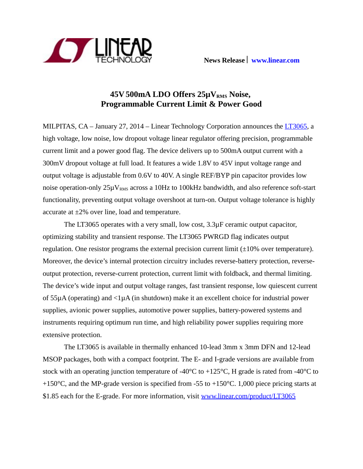

# **45V 500mA LDO Offers 25µVRMS Noise, Programmable Current Limit & Power Good**

MILPITAS, CA – January 27, 2014 – Linear Technology Corporation announces the [LT3065,](http://www.linear.com/product/LT3065) a high voltage, low noise, low dropout voltage linear regulator offering precision, programmable current limit and a power good flag. The device delivers up to 500mA output current with a 300mV dropout voltage at full load. It features a wide 1.8V to 45V input voltage range and output voltage is adjustable from 0.6V to 40V. A single REF/BYP pin capacitor provides low noise operation-only  $25\mu V_{RMS}$  across a 10Hz to 100kHz bandwidth, and also reference soft-start functionality, preventing output voltage overshoot at turn-on. Output voltage tolerance is highly accurate at ±2% over line, load and temperature.

The LT3065 operates with a very small, low cost, 3.3µF ceramic output capacitor, optimizing stability and transient response. The LT3065 PWRGD flag indicates output regulation. One resistor programs the external precision current limit  $(\pm 10\%$  over temperature). Moreover, the device's internal protection circuitry includes reverse-battery protection, reverseoutput protection, reverse-current protection, current limit with foldback, and thermal limiting. The device's wide input and output voltage ranges, fast transient response, low quiescent current of  $55\mu A$  (operating) and  $\langle 1\mu A$  (in shutdown) make it an excellent choice for industrial power supplies, avionic power supplies, automotive power supplies, battery-powered systems and instruments requiring optimum run time, and high reliability power supplies requiring more extensive protection.

The LT3065 is available in thermally enhanced 10-lead 3mm x 3mm DFN and 12-lead MSOP packages, both with a compact footprint. The E- and I-grade versions are available from stock with an operating junction temperature of  $-40^{\circ}C$  to  $+125^{\circ}C$ , H grade is rated from  $-40^{\circ}C$  to +150 $^{\circ}$ C, and the MP-grade version is specified from -55 to +150 $^{\circ}$ C. 1,000 piece pricing starts at \$1.85 each for the E-grade. For more information, visit [www.linear.com/product/LT3065](http://www.linear.com/product/LT3065)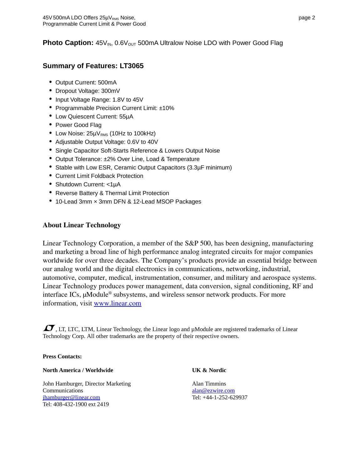## **Photo Caption:**  $45V_{IN}$ ,  $0.6V_{OUT}$  500mA Ultralow Noise LDO with Power Good Flag

### **Summary of Features: LT3065**

- Output Current: 500mA
- Dropout Voltage: 300mV
- Input Voltage Range: 1.8V to 45V
- Programmable Precision Current Limit: ±10%
- Low Quiescent Current: 55µA
- Power Good Flag
- Low Noise:  $25\mu V_{RMS}$  (10Hz to 100kHz)
- Adjustable Output Voltage: 0.6V to 40V
- Single Capacitor Soft-Starts Reference & Lowers Output Noise
- Output Tolerance: ±2% Over Line, Load & Temperature
- Stable with Low ESR, Ceramic Output Capacitors (3.3µF minimum)
- Current Limit Foldback Protection
- Shutdown Current: <1µA
- Reverse Battery & Thermal Limit Protection
- 10-Lead 3mm × 3mm DFN & 12-Lead MSOP Packages

#### About Linear Technology

Linear Technology Corporation, a member of the S&P 500, has been designing, manufacturing and marketing a broad line of high performance analog integrated circuits for major companies worldwide for over three decades. The Company's products provide an essential bridge between our analog world and the digital electronics in communications, networking, industrial, automotive, computer, medical, instrumentation, consumer, and military and aerospace systems. Linear Technology produces power management, data conversion, signal conditioning, RF and interface ICs, µModule<sup>®</sup> subsystems, and wireless sensor network products. For more information, visit [www.linear.com](http://www.linear.com/)

 $\Box$ , LT, LTC, LTM, Linear Technology, the Linear logo and  $\mu$ Module are registered trademarks of Linear Technology Corp. All other trademarks are the property of their respective owners.

**Press Contacts:**

#### **North America / Worldwide UK & Nordic**

John Hamburger, Director Marketing **Alan Timmins** Communications [alan@ezwire.com](mailto:alan@ezwire.com) [jhamburger@linear.com](mailto:jhamburger@linear.com) Tel: +44-1-252-629937 Tel: 408-432-1900 ext 2419